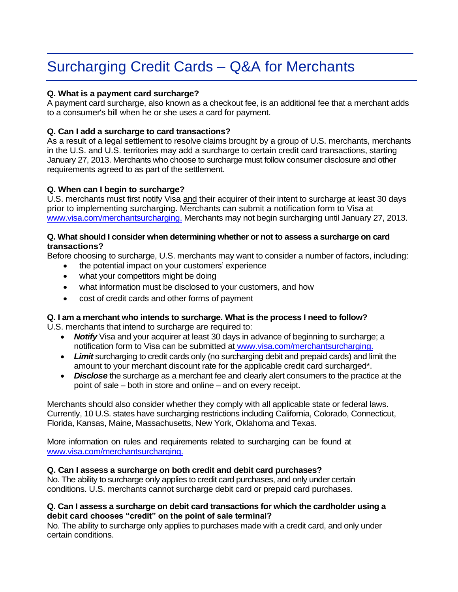# Surcharging Credit Cards – Q&A for Merchants

# **Q. What is a payment card surcharge?**

A payment card surcharge, also known as a checkout fee, is an additional fee that a merchant adds to a consumer's bill when he or she uses a card for payment.

## **Q. Can I add a surcharge to card transactions?**

As a result of a legal settlement to resolve claims brought by a group of U.S. merchants, merchants in the U.S. and U.S. territories may add a surcharge to certain credit card transactions, starting January 27, 2013. Merchants who choose to surcharge must follow consumer disclosure and other requirements agreed to as part of the settlement.

## **Q. When can I begin to surcharge?**

U.S. merchants must first notify Visa and their acquirer of their intent to surcharge at least 30 days prior to implementing surcharging. Merchants can submit a notification form to Visa at [www.visa.com/merchantsurcharging.](http://www.visa.com/merchantsurcharging) Merchants may not begin surcharging until January 27, 2013.

## **Q. What should I consider when determining whether or not to assess a surcharge on card transactions?**

Before choosing to surcharge, U.S. merchants may want to consider a number of factors, including:

- the potential impact on your customers' experience
- what your competitors might be doing
- what information must be disclosed to your customers, and how
- cost of credit cards and other forms of payment

#### **Q. I am a merchant who intends to surcharge. What is the process I need to follow?**

U.S. merchants that intend to surcharge are required to:

- **Notify** Visa and your acquirer at least 30 days in advance of beginning to surcharge; a notification form to Visa can be submitted at [www.visa.com/merchantsurcharging.](http://www.visa.com/merchantsurcharging.)
- *Limit* surcharging to credit cards only (no surcharging debit and prepaid cards) and limit the amount to your merchant discount rate for the applicable credit card surcharged\*.
- *Disclose* the surcharge as a merchant fee and clearly alert consumers to the practice at the point of sale – both in store and online – and on every receipt.

Merchants should also consider whether they comply with all applicable state or federal laws. Currently, 10 U.S. states have surcharging restrictions including California, Colorado, Connecticut, Florida, Kansas, Maine, Massachusetts, New York, Oklahoma and Texas.

More information on rules and requirements related to surcharging can be found at [www.visa.com/merchantsurcharging.](http://www.visa.com/merchantsurcharging.)

#### **Q. Can I assess a surcharge on both credit and debit card purchases?**

No. The ability to surcharge only applies to credit card purchases, and only under certain conditions. U.S. merchants cannot surcharge debit card or prepaid card purchases.

## **Q. Can I assess a surcharge on debit card transactions for which the cardholder using a debit card chooses "credit" on the point of sale terminal?**

No. The ability to surcharge only applies to purchases made with a credit card, and only under certain conditions.